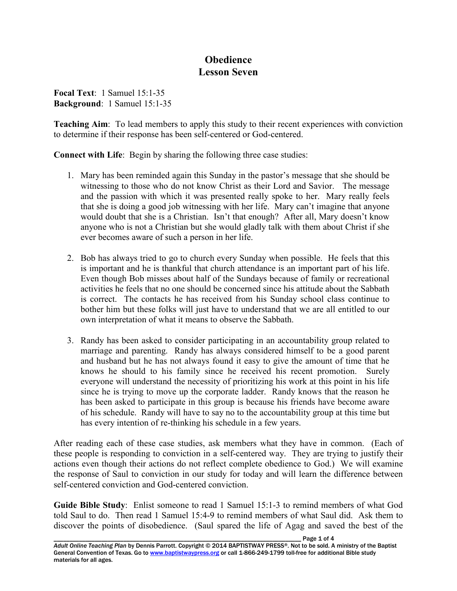## **Obedience Lesson Seven**

**Focal Text**: 1 Samuel 15:1-35 **Background**: 1 Samuel 15:1-35

**Teaching Aim**: To lead members to apply this study to their recent experiences with conviction to determine if their response has been self-centered or God-centered.

**Connect with Life**: Begin by sharing the following three case studies:

- 1. Mary has been reminded again this Sunday in the pastor's message that she should be witnessing to those who do not know Christ as their Lord and Savior. The message and the passion with which it was presented really spoke to her. Mary really feels that she is doing a good job witnessing with her life. Mary can't imagine that anyone would doubt that she is a Christian. Isn't that enough? After all, Mary doesn't know anyone who is not a Christian but she would gladly talk with them about Christ if she ever becomes aware of such a person in her life.
- 2. Bob has always tried to go to church every Sunday when possible. He feels that this is important and he is thankful that church attendance is an important part of his life. Even though Bob misses about half of the Sundays because of family or recreational activities he feels that no one should be concerned since his attitude about the Sabbath is correct. The contacts he has received from his Sunday school class continue to bother him but these folks will just have to understand that we are all entitled to our own interpretation of what it means to observe the Sabbath.
- 3. Randy has been asked to consider participating in an accountability group related to marriage and parenting. Randy has always considered himself to be a good parent and husband but he has not always found it easy to give the amount of time that he knows he should to his family since he received his recent promotion. Surely everyone will understand the necessity of prioritizing his work at this point in his life since he is trying to move up the corporate ladder. Randy knows that the reason he has been asked to participate in this group is because his friends have become aware of his schedule. Randy will have to say no to the accountability group at this time but has every intention of re-thinking his schedule in a few years.

After reading each of these case studies, ask members what they have in common. (Each of these people is responding to conviction in a self-centered way. They are trying to justify their actions even though their actions do not reflect complete obedience to God.) We will examine the response of Saul to conviction in our study for today and will learn the difference between self-centered conviction and God-centered conviction.

**Guide Bible Study**: Enlist someone to read 1 Samuel 15:1-3 to remind members of what God told Saul to do. Then read 1 Samuel 15:4-9 to remind members of what Saul did. Ask them to discover the points of disobedience. (Saul spared the life of Agag and saved the best of the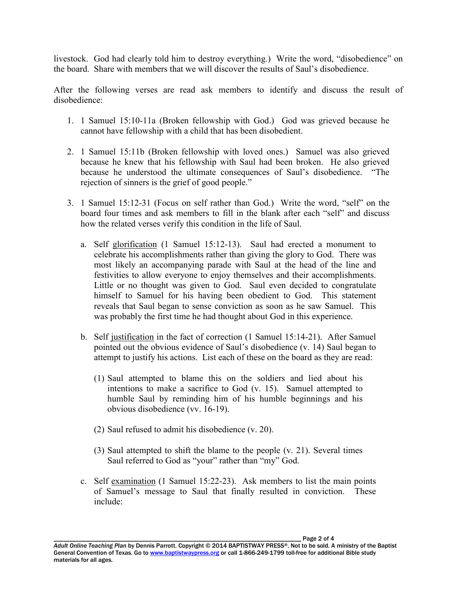livestock. God had clearly told him to destroy everything.) Write the word, "disobedience" on the board. Share with members that we will discover the results of Saul's disobedience.

After the following verses are read ask members to identify and discuss the result of disobedience:

- 1. 1 Samuel 15:10-11a (Broken fellowship with God.) God was grieved because he cannot have fellowship with a child that has been disobedient.
- 2. 1 Samuel 15:11b (Broken fellowship with loved ones.) Samuel was also grieved because he knew that his fellowship with Saul had been broken. He also grieved because he understood the ultimate consequences of Saul's disobedience. "The rejection of sinners is the grief of good people."
- 3. 1 Samuel 15:12-31 (Focus on self rather than God.) Write the word, "self" on the board four times and ask members to fill in the blank after each "self" and discuss how the related verses verify this condition in the life of Saul.
	- a. Self glorification (1 Samuel 15:12-13). Saul had erected a monument to celebrate his accomplishments rather than giving the glory to God. There was most likely an accompanying parade with Saul at the head of the line and festivities to allow everyone to enjoy themselves and their accomplishments. Little or no thought was given to God. Saul even decided to congratulate himself to Samuel for his having been obedient to God. This statement reveals that Saul began to sense conviction as soon as he saw Samuel. This was probably the first time he had thought about God in this experience.
	- b. Self justification in the fact of correction (1 Samuel 15:14-21). After Samuel pointed out the obvious evidence of Saul's disobedience (v. 14) Saul began to attempt to justify his actions. List each of these on the board as they are read:
		- (1) Saul attempted to blame this on the soldiers and lied about his intentions to make a sacrifice to God (v. 15). Samuel attempted to humble Saul by reminding him of his humble beginnings and his obvious disobedience (vv. 16-19).
		- (2) Saul refused to admit his disobedience (v. 20).
		- (3) Saul attempted to shift the blame to the people (v. 21). Several times Saul referred to God as "your" rather than "my" God.
	- c. Self examination (1 Samuel 15:22-23). Ask members to list the main points of Samuel's message to Saul that finally resulted in conviction. These include:

Page 2 of 4 *Adult Online Teaching Plan* by Dennis Parrott. Copyright © 2014 BAPTISTWAY PRESS®. Not to be sold. A ministry of the Baptist General Convention of Texas. Go to www.baptistwaypress.org or call 1-866-249-1799 toll-free for additional Bible study materials for all ages.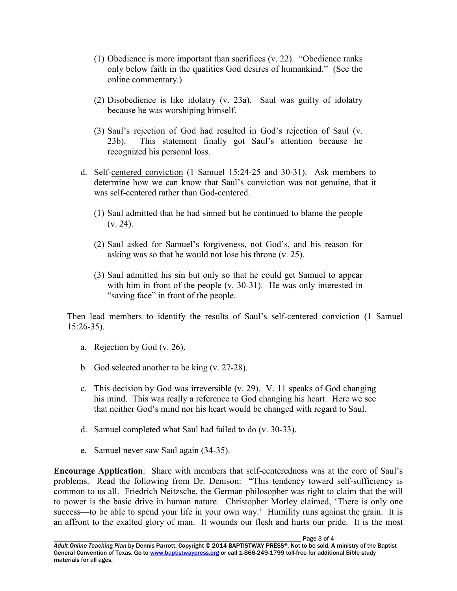- (1) Obedience is more important than sacrifices (v. 22). "Obedience ranks only below faith in the qualities God desires of humankind." (See the online commentary.)
- (2) Disobedience is like idolatry (v. 23a). Saul was guilty of idolatry because he was worshiping himself.
- (3) Saul's rejection of God had resulted in God's rejection of Saul (v. 23b). This statement finally got Saul's attention because he recognized his personal loss.
- d. Self-centered conviction (1 Samuel 15:24-25 and 30-31). Ask members to determine how we can know that Saul's conviction was not genuine, that it was self-centered rather than God-centered.
	- (1) Saul admitted that he had sinned but he continued to blame the people  $(v. 24)$ .
	- (2) Saul asked for Samuel's forgiveness, not God's, and his reason for asking was so that he would not lose his throne (v. 25).
	- (3) Saul admitted his sin but only so that he could get Samuel to appear with him in front of the people (v. 30-31). He was only interested in "saving face" in front of the people.

 Then lead members to identify the results of Saul's self-centered conviction (1 Samuel 15:26-35).

- a. Rejection by God (v. 26).
- b. God selected another to be king (v. 27-28).
- c. This decision by God was irreversible (v. 29). V. 11 speaks of God changing his mind. This was really a reference to God changing his heart. Here we see that neither God's mind nor his heart would be changed with regard to Saul.
- d. Samuel completed what Saul had failed to do (v. 30-33).
- e. Samuel never saw Saul again (34-35).

**Encourage Application**: Share with members that self-centeredness was at the core of Saul's problems. Read the following from Dr. Denison: "This tendency toward self-sufficiency is common to us all. Friedrich Neitzsche, the German philosopher was right to claim that the will to power is the basic drive in human nature. Christopher Morley claimed, 'There is only one success—to be able to spend your life in your own way.' Humility runs against the grain. It is an affront to the exalted glory of man. It wounds our flesh and hurts our pride. It is the most